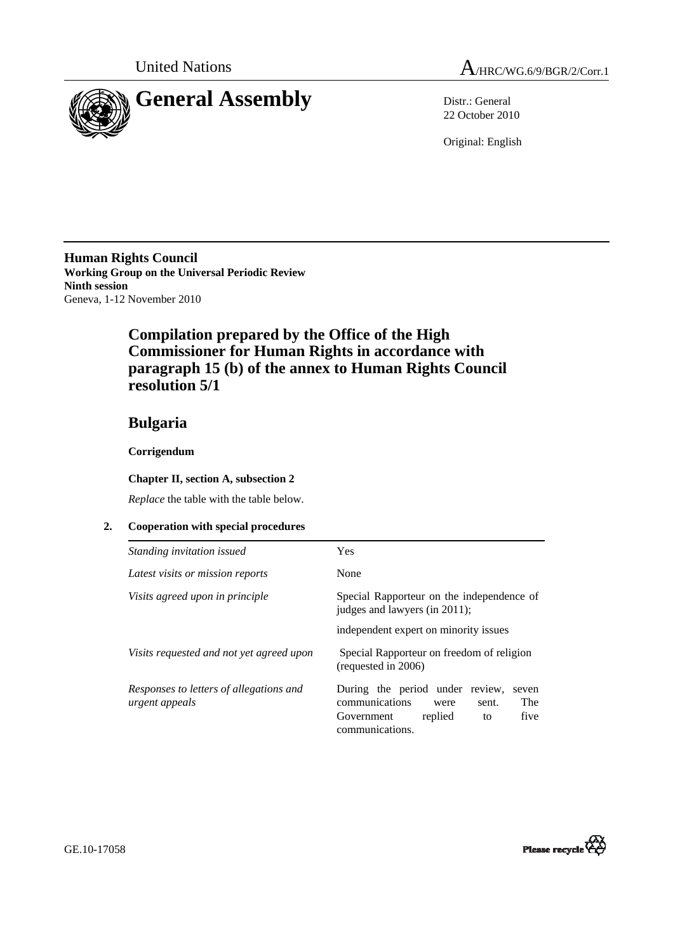



22 October 2010

Original: English

**Human Rights Council Working Group on the Universal Periodic Review Ninth session**  Geneva, 1-12 November 2010

# **Compilation prepared by the Office of the High Commissioner for Human Rights in accordance with paragraph 15 (b) of the annex to Human Rights Council resolution 5/1**

## **Bulgaria**

### **Corrigendum**

#### **Chapter II, section A, subsection 2**

*Replace* the table with the table below.

#### **2. Cooperation with special procedures**

| Standing invitation issued                                | <b>Yes</b>                                                                                                                                   |
|-----------------------------------------------------------|----------------------------------------------------------------------------------------------------------------------------------------------|
| Latest visits or mission reports                          | None                                                                                                                                         |
| Visits agreed upon in principle                           | Special Rapporteur on the independence of<br>judges and lawyers (in 2011);                                                                   |
|                                                           | independent expert on minority issues                                                                                                        |
| Visits requested and not yet agreed upon                  | Special Rapporteur on freedom of religion<br>(requested in 2006)                                                                             |
| Responses to letters of allegations and<br>urgent appeals | During the period under review,<br>seven<br>communications<br>The<br>sent.<br>were<br>five<br>Government<br>replied<br>to<br>communications. |